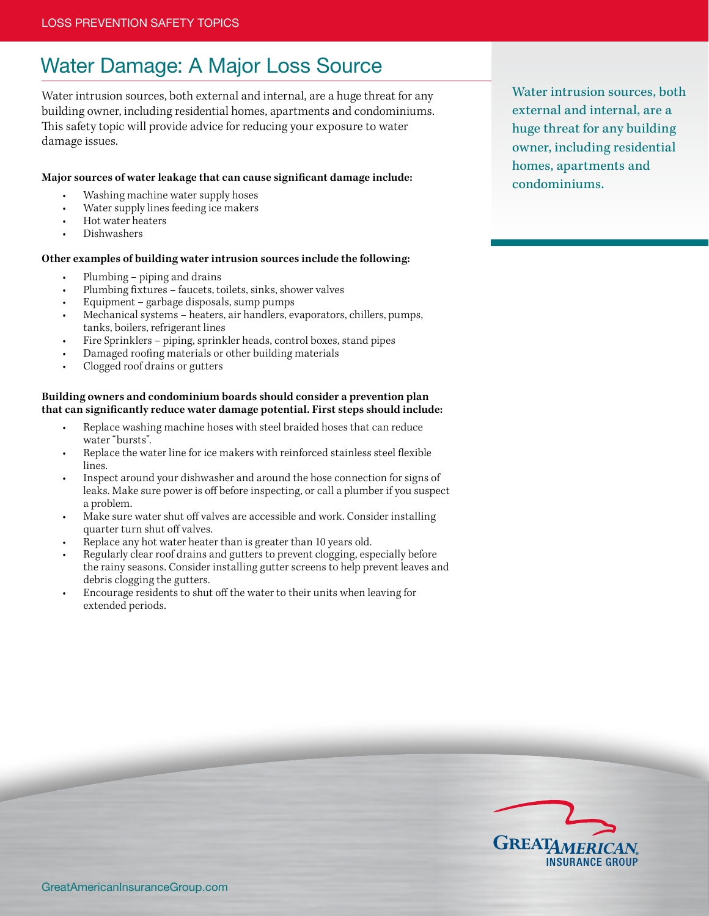# Water Damage: A Major Loss Source

Water intrusion sources, both external and internal, are a huge threat for any building owner, including residential homes, apartments and condominiums. This safety topic will provide advice for reducing your exposure to water damage issues.

### **Major sources of water leakage that can cause significant damage include:**

- Washing machine water supply hoses
- Water supply lines feeding ice makers
- Hot water heaters
- Dishwashers

### **Other examples of building water intrusion sources include the following:**

- Plumbing piping and drains
- Plumbing fixtures faucets, toilets, sinks, shower valves
- Equipment garbage disposals, sump pumps
- Mechanical systems heaters, air handlers, evaporators, chillers, pumps, tanks, boilers, refrigerant lines
- Fire Sprinklers piping, sprinkler heads, control boxes, stand pipes
- Damaged roofing materials or other building materials
- Clogged roof drains or gutters

### **Building owners and condominium boards should consider a prevention plan that can significantly reduce water damage potential. First steps should include:**

- Replace washing machine hoses with steel braided hoses that can reduce water "bursts".
- Replace the water line for ice makers with reinforced stainless steel flexible lines.
- Inspect around your dishwasher and around the hose connection for signs of leaks. Make sure power is off before inspecting, or call a plumber if you suspect a problem.
- Make sure water shut off valves are accessible and work. Consider installing quarter turn shut off valves.
- Replace any hot water heater than is greater than 10 years old.
- Regularly clear roof drains and gutters to prevent clogging, especially before the rainy seasons. Consider installing gutter screens to help prevent leaves and debris clogging the gutters.
- Encourage residents to shut off the water to their units when leaving for extended periods.

Water intrusion sources, both external and internal, are a huge threat for any building owner, including residential homes, apartments and condominiums.